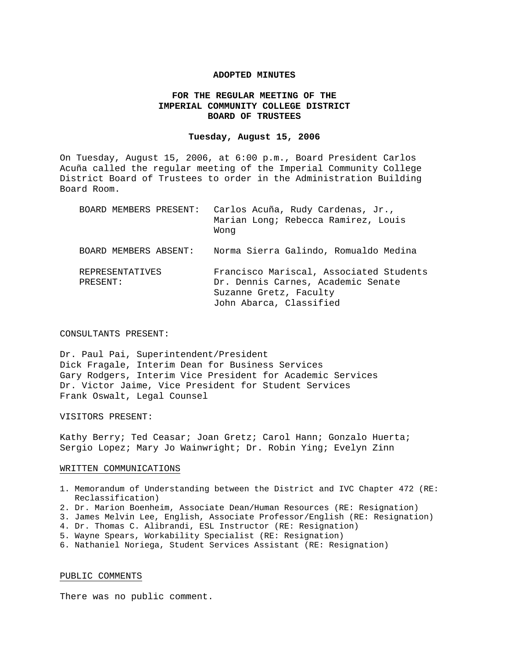#### **ADOPTED MINUTES**

### **FOR THE REGULAR MEETING OF THE IMPERIAL COMMUNITY COLLEGE DISTRICT BOARD OF TRUSTEES**

#### **Tuesday, August 15, 2006**

On Tuesday, August 15, 2006, at 6:00 p.m., Board President Carlos Acuña called the regular meeting of the Imperial Community College District Board of Trustees to order in the Administration Building Board Room.

| BOARD MEMBERS PRESENT:      | Carlos Acuña, Rudy Cardenas, Jr.,<br>Marian Long; Rebecca Ramirez, Louis<br>Wong                                                   |
|-----------------------------|------------------------------------------------------------------------------------------------------------------------------------|
| BOARD MEMBERS ABSENT:       | Norma Sierra Galindo, Romualdo Medina                                                                                              |
| REPRESENTATIVES<br>PRESENT: | Francisco Mariscal, Associated Students<br>Dr. Dennis Carnes, Academic Senate<br>Suzanne Gretz, Faculty<br>John Abarca, Classified |

CONSULTANTS PRESENT:

Dr. Paul Pai, Superintendent/President Dick Fragale, Interim Dean for Business Services Gary Rodgers, Interim Vice President for Academic Services Dr. Victor Jaime, Vice President for Student Services Frank Oswalt, Legal Counsel

VISITORS PRESENT:

Kathy Berry; Ted Ceasar; Joan Gretz; Carol Hann; Gonzalo Huerta; Sergio Lopez; Mary Jo Wainwright; Dr. Robin Ying; Evelyn Zinn

#### WRITTEN COMMUNICATIONS

- 1. Memorandum of Understanding between the District and IVC Chapter 472 (RE: Reclassification)
- 2. Dr. Marion Boenheim, Associate Dean/Human Resources (RE: Resignation)
- 3. James Melvin Lee, English, Associate Professor/English (RE: Resignation)
- 4. Dr. Thomas C. Alibrandi, ESL Instructor (RE: Resignation)
- 5. Wayne Spears, Workability Specialist (RE: Resignation)
- 6. Nathaniel Noriega, Student Services Assistant (RE: Resignation)

#### PUBLIC COMMENTS

There was no public comment.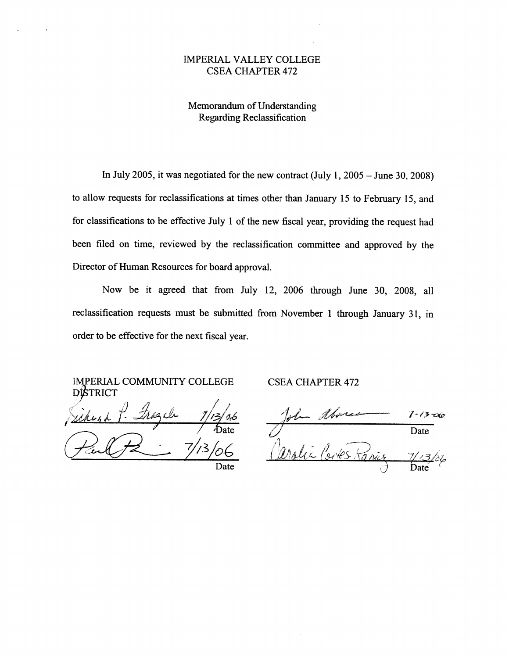### **IMPERIAL VALLEY COLLEGE CSEA CHAPTER 472**

Memorandum of Understanding **Regarding Reclassification** 

In July 2005, it was negotiated for the new contract (July 1,  $2005 -$  June 30, 2008) to allow requests for reclassifications at times other than January 15 to February 15, and for classifications to be effective July 1 of the new fiscal year, providing the request had been filed on time, reviewed by the reclassification committee and approved by the Director of Human Resources for board approval.

Now be it agreed that from July 12, 2006 through June 30, 2008, all reclassification requests must be submitted from November 1 through January 31, in order to be effective for the next fiscal year.

**IMPERIAL COMMUNITY COLLEGE DISTRICT** 

**CSEA CHAPTER 472** 

1-13 rxe Date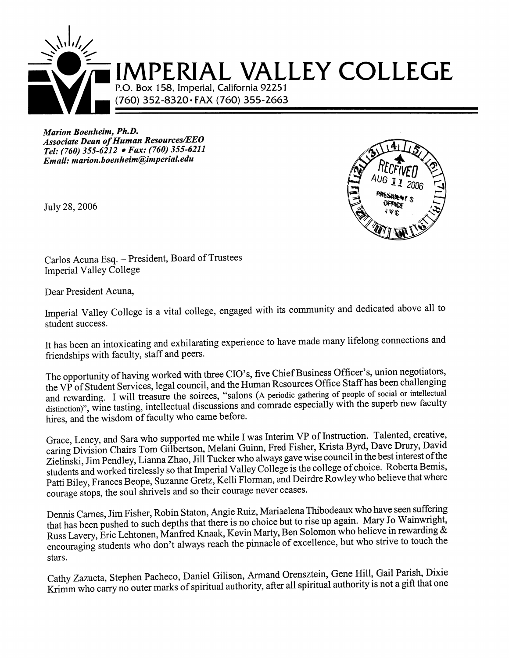

Marion Boenheim, Ph.D. **Associate Dean of Human Resources/EEO** Tel: (760) 355-6212 • Fax: (760) 355-6211 Email: marion.boenheim@imperial.edu

July 28, 2006



Carlos Acuna Esq. - President, Board of Trustees Imperial Valley College

Dear President Acuna,

Imperial Valley College is a vital college, engaged with its community and dedicated above all to student success.

It has been an intoxicating and exhilarating experience to have made many lifelong connections and friendships with faculty, staff and peers.

The opportunity of having worked with three CIO's, five Chief Business Officer's, union negotiators, the VP of Student Services, legal council, and the Human Resources Office Staff has been challenging and rewarding. I will treasure the soirees, "salons (A periodic gathering of people of social or intellectual distinction)", wine tasting, intellectual discussions and comrade especially with the superb new faculty hires, and the wisdom of faculty who came before.

Grace, Lency, and Sara who supported me while I was Interim VP of Instruction. Talented, creative, caring Division Chairs Tom Gilbertson, Melani Guinn, Fred Fisher, Krista Byrd, Dave Drury, David Zielinski, Jim Pendley, Lianna Zhao, Jill Tucker who always gave wise council in the best interest of the students and worked tirelessly so that Imperial Valley College is the college of choice. Roberta Bemis, Patti Biley, Frances Beope, Suzanne Gretz, Kelli Florman, and Deirdre Rowley who believe that where courage stops, the soul shrivels and so their courage never ceases.

Dennis Carnes, Jim Fisher, Robin Staton, Angie Ruiz, Mariaelena Thibodeaux who have seen suffering that has been pushed to such depths that there is no choice but to rise up again. Mary Jo Wainwright, Russ Lavery, Eric Lehtonen, Manfred Knaak, Kevin Marty, Ben Solomon who believe in rewarding & encouraging students who don't always reach the pinnacle of excellence, but who strive to touch the stars.

Cathy Zazueta, Stephen Pacheco, Daniel Gilison, Armand Orensztein, Gene Hill, Gail Parish, Dixie Krimm who carry no outer marks of spiritual authority, after all spiritual authority is not a gift that one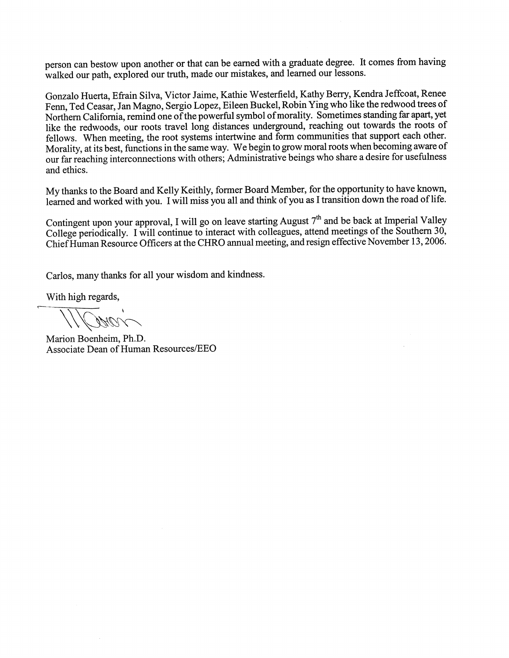person can bestow upon another or that can be earned with a graduate degree. It comes from having walked our path, explored our truth, made our mistakes, and learned our lessons.

Gonzalo Huerta, Efrain Silva, Victor Jaime, Kathie Westerfield, Kathy Berry, Kendra Jeffcoat, Renee Fenn, Ted Ceasar, Jan Magno, Sergio Lopez, Eileen Buckel, Robin Ying who like the redwood trees of Northern California, remind one of the powerful symbol of morality. Sometimes standing far apart, yet like the redwoods, our roots travel long distances underground, reaching out towards the roots of fellows. When meeting, the root systems intertwine and form communities that support each other. Morality, at its best, functions in the same way. We begin to grow moral roots when becoming aware of our far reaching interconnections with others; Administrative beings who share a desire for usefulness and ethics.

My thanks to the Board and Kelly Keithly, former Board Member, for the opportunity to have known, learned and worked with you. I will miss you all and think of you as I transition down the road of life.

Contingent upon your approval, I will go on leave starting August 7<sup>th</sup> and be back at Imperial Valley College periodically. I will continue to interact with colleagues, attend meetings of the Southern 30, Chief Human Resource Officers at the CHRO annual meeting, and resign effective November 13, 2006.

Carlos, many thanks for all your wisdom and kindness.

With high regards,

Marion Boenheim, Ph.D. Associate Dean of Human Resources/EEO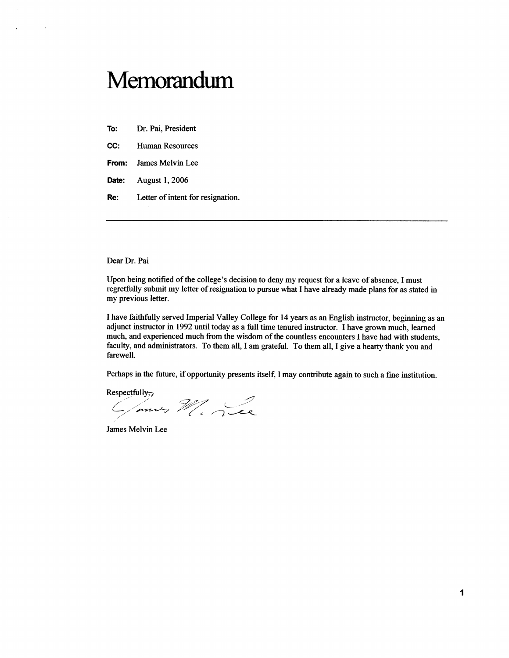# Memorandum

To: Dr. Pai, President

 $\bar{r}$ 

 $\mathcal{A}$ 

CC: Human Resources

- James Melvin Lee From:
- Date: August 1, 2006
- Letter of intent for resignation. Re:

Dear Dr. Pai

Upon being notified of the college's decision to deny my request for a leave of absence, I must regretfully submit my letter of resignation to pursue what I have already made plans for as stated in my previous letter.

I have faithfully served Imperial Valley College for 14 years as an English instructor, beginning as an adjunct instructor in 1992 until today as a full time tenured instructor. I have grown much, learned much, and experienced much from the wisdom of the countless encounters I have had with students, faculty, and administrators. To them all, I am grateful. To them all, I give a hearty thank you and farewell.

Perhaps in the future, if opportunity presents itself, I may contribute again to such a fine institution.

Respectfully,

C/mus M. Lee

James Melvin Lee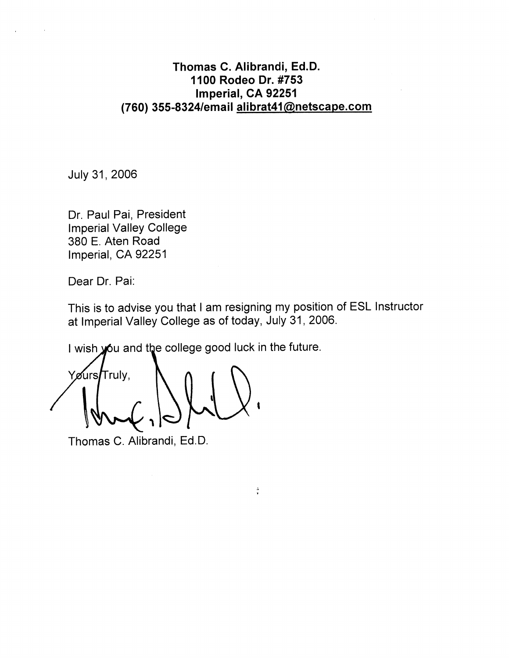## Thomas C. Alibrandi, Ed.D. 1100 Rodeo Dr. #753 Imperial, CA 92251 (760) 355-8324/email alibrat41@netscape.com

July 31, 2006

Dr. Paul Pai, President **Imperial Valley College** 380 E. Aten Road Imperial, CA 92251

Dear Dr. Pai:

This is to advise you that I am resigning my position of ESL Instructor at Imperial Valley College as of today, July 31, 2006.

 $\frac{5}{4}$ 

I wish you and the college good luck in the future.

Yøurs**/**Trulv.

Thomas C. Alibrandi, Ed.D.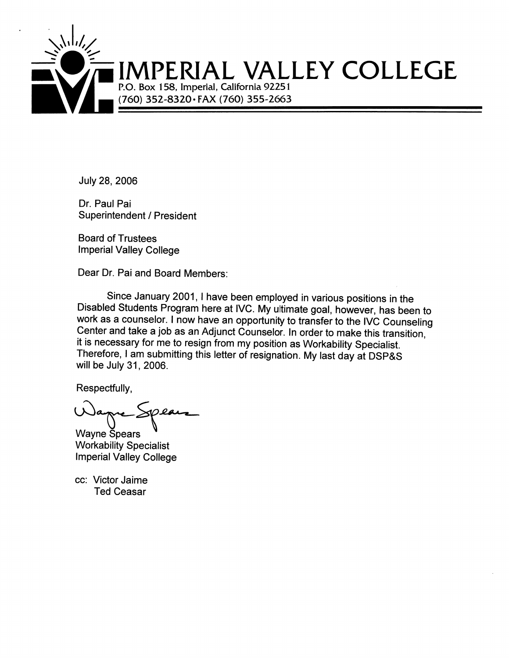

July 28, 2006

Dr. Paul Pai **Superintendent / President** 

**Board of Trustees Imperial Valley College** 

Dear Dr. Pai and Board Members:

Since January 2001, I have been employed in various positions in the Disabled Students Program here at IVC. My ultimate goal, however, has been to work as a counselor. I now have an opportunity to transfer to the IVC Counseling Center and take a job as an Adjunct Counselor. In order to make this transition, it is necessary for me to resign from my position as Workability Specialist. Therefore, I am submitting this letter of resignation. My last day at DSP&S will be July 31, 2006.

Respectfully,

**Wayne Spears Workability Specialist Imperial Valley College** 

cc: Victor Jaime **Ted Ceasar**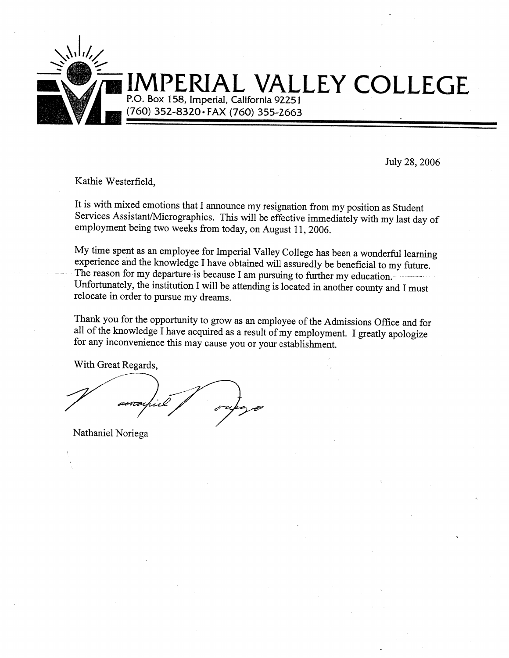

# AL VALLEY COLLEGE P.O. Box 158, Imperial, California 92251

(760) 352-8320 · FAX (760) 355-2663

July 28, 2006

Kathie Westerfield,

It is with mixed emotions that I announce my resignation from my position as Student Services Assistant/Micrographics. This will be effective immediately with my last day of employment being two weeks from today, on August 11, 2006.

My time spent as an employee for Imperial Valley College has been a wonderful learning experience and the knowledge I have obtained will assuredly be beneficial to my future. The reason for my departure is because I am pursuing to further my education. Unfortunately, the institution I will be attending is located in another county and I must relocate in order to pursue my dreams.

Thank you for the opportunity to grow as an employee of the Admissions Office and for all of the knowledge I have acquired as a result of my employment. I greatly apologize for any inconvenience this may cause you or your establishment.

With Great Regards,

Nathaniel Noriega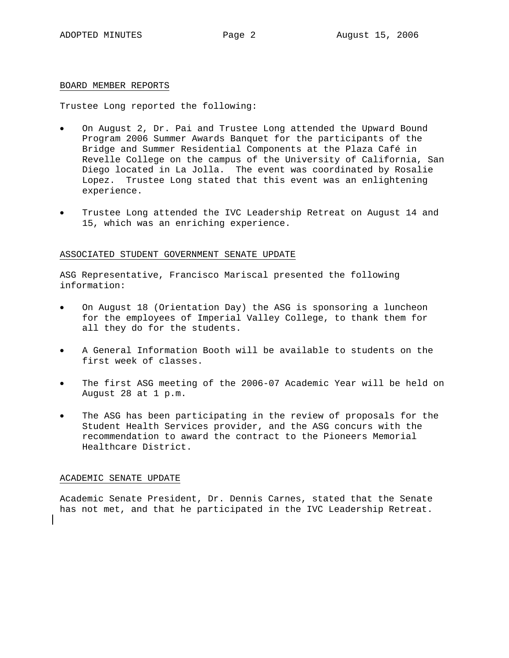#### BOARD MEMBER REPORTS

Trustee Long reported the following:

- On August 2, Dr. Pai and Trustee Long attended the Upward Bound Program 2006 Summer Awards Banquet for the participants of the Bridge and Summer Residential Components at the Plaza Café in Revelle College on the campus of the University of California, San Diego located in La Jolla. The event was coordinated by Rosalie Lopez. Trustee Long stated that this event was an enlightening experience.
- Trustee Long attended the IVC Leadership Retreat on August 14 and 15, which was an enriching experience.

#### ASSOCIATED STUDENT GOVERNMENT SENATE UPDATE

ASG Representative, Francisco Mariscal presented the following information:

- On August 18 (Orientation Day) the ASG is sponsoring a luncheon for the employees of Imperial Valley College, to thank them for all they do for the students.
- A General Information Booth will be available to students on the first week of classes.
- The first ASG meeting of the 2006-07 Academic Year will be held on August 28 at 1 p.m.
- The ASG has been participating in the review of proposals for the Student Health Services provider, and the ASG concurs with the recommendation to award the contract to the Pioneers Memorial Healthcare District.

#### ACADEMIC SENATE UPDATE

Academic Senate President, Dr. Dennis Carnes, stated that the Senate has not met, and that he participated in the IVC Leadership Retreat.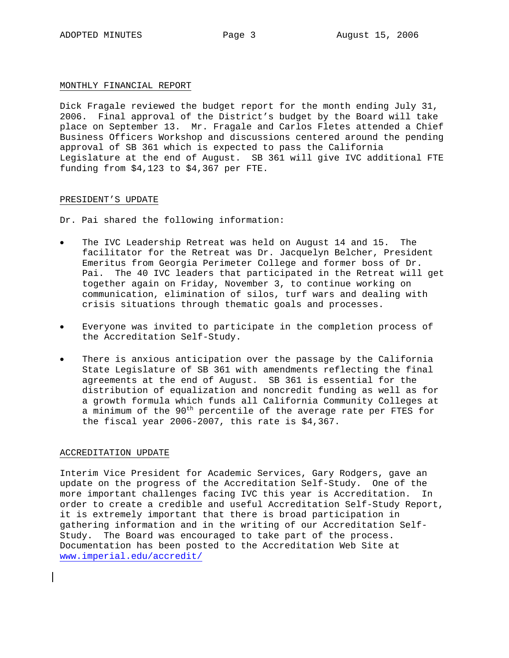#### MONTHLY FINANCIAL REPORT

Dick Fragale reviewed the budget report for the month ending July 31, 2006. Final approval of the District's budget by the Board will take place on September 13. Mr. Fragale and Carlos Fletes attended a Chief Business Officers Workshop and discussions centered around the pending approval of SB 361 which is expected to pass the California Legislature at the end of August. SB 361 will give IVC additional FTE funding from \$4,123 to \$4,367 per FTE.

#### PRESIDENT'S UPDATE

Dr. Pai shared the following information:

- The IVC Leadership Retreat was held on August 14 and 15. The facilitator for the Retreat was Dr. Jacquelyn Belcher, President Emeritus from Georgia Perimeter College and former boss of Dr. Pai. The 40 IVC leaders that participated in the Retreat will get together again on Friday, November 3, to continue working on communication, elimination of silos, turf wars and dealing with crisis situations through thematic goals and processes.
- Everyone was invited to participate in the completion process of the Accreditation Self-Study.
- There is anxious anticipation over the passage by the California State Legislature of SB 361 with amendments reflecting the final agreements at the end of August. SB 361 is essential for the distribution of equalization and noncredit funding as well as for a growth formula which funds all California Community Colleges at a minimum of the 90<sup>th</sup> percentile of the average rate per FTES for the fiscal year 2006-2007, this rate is \$4,367.

#### ACCREDITATION UPDATE

Interim Vice President for Academic Services, Gary Rodgers, gave an update on the progress of the Accreditation Self-Study. One of the more important challenges facing IVC this year is Accreditation. In order to create a credible and useful Accreditation Self-Study Report, it is extremely important that there is broad participation in gathering information and in the writing of our Accreditation Self-Study. The Board was encouraged to take part of the process. Documentation has been posted to the Accreditation Web Site at www.imperial.edu/accredit/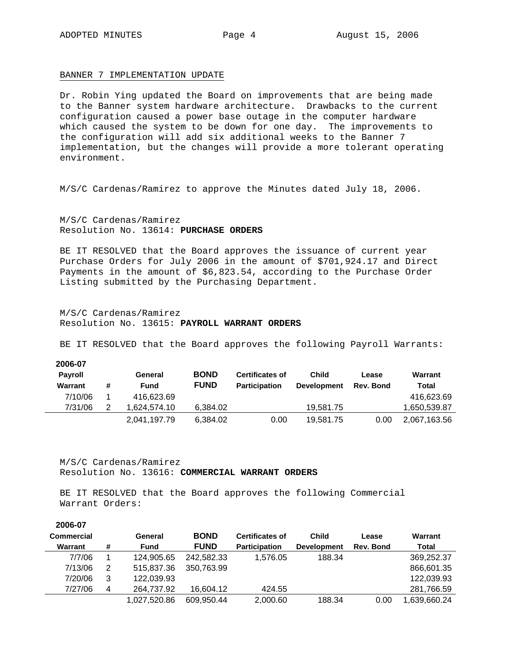**2006-07** 

#### BANNER 7 IMPLEMENTATION UPDATE

Dr. Robin Ying updated the Board on improvements that are being made to the Banner system hardware architecture. Drawbacks to the current configuration caused a power base outage in the computer hardware which caused the system to be down for one day. The improvements to the configuration will add six additional weeks to the Banner 7 implementation, but the changes will provide a more tolerant operating environment.

M/S/C Cardenas/Ramirez to approve the Minutes dated July 18, 2006.

M/S/C Cardenas/Ramirez Resolution No. 13614: **PURCHASE ORDERS**

BE IT RESOLVED that the Board approves the issuance of current year Purchase Orders for July 2006 in the amount of \$701,924.17 and Direct Payments in the amount of \$6,823.54, according to the Purchase Order Listing submitted by the Purchasing Department.

M/S/C Cardenas/Ramirez Resolution No. 13615: **PAYROLL WARRANT ORDERS**

BE IT RESOLVED that the Board approves the following Payroll Warrants:

| 2006-07<br><b>Payroll</b><br>Warrant | # | General<br><b>Fund</b> | <b>BOND</b><br><b>FUND</b> | <b>Certificates of</b><br><b>Participation</b> | Child<br><b>Development</b> | Lease<br>Rev. Bond | Warrant<br>Total |
|--------------------------------------|---|------------------------|----------------------------|------------------------------------------------|-----------------------------|--------------------|------------------|
| 7/10/06                              |   | 416.623.69             |                            |                                                |                             |                    | 416,623.69       |
| 7/31/06                              | 2 | .624.574.10            | 6.384.02                   |                                                | 19.581.75                   |                    | 1,650,539.87     |
|                                      |   | 2,041,197.79           | 6.384.02                   | 0.00                                           | 19,581.75                   | 0.00               | 2,067,163.56     |

M/S/C Cardenas/Ramirez Resolution No. 13616: **COMMERCIAL WARRANT ORDERS**

BE IT RESOLVED that the Board approves the following Commercial Warrant Orders:

| ZUUO-UT           |   |              |             |                        |                    |           |              |
|-------------------|---|--------------|-------------|------------------------|--------------------|-----------|--------------|
| <b>Commercial</b> |   | General      | <b>BOND</b> | <b>Certificates of</b> | <b>Child</b>       | Lease     | Warrant      |
| Warrant           | # | <b>Fund</b>  | <b>FUND</b> | <b>Participation</b>   | <b>Development</b> | Rev. Bond | Total        |
| 7/7/06            |   | 124.905.65   | 242.582.33  | 1.576.05               | 188.34             |           | 369,252.37   |
| 7/13/06           | 2 | 515,837.36   | 350.763.99  |                        |                    |           | 866,601.35   |
| 7/20/06           | 3 | 122.039.93   |             |                        |                    |           | 122,039.93   |
| 7/27/06           | 4 | 264.737.92   | 16.604.12   | 424.55                 |                    |           | 281,766.59   |
|                   |   | 1.027.520.86 | 609,950.44  | 2.000.60               | 188.34             | 0.00      | 1,639,660.24 |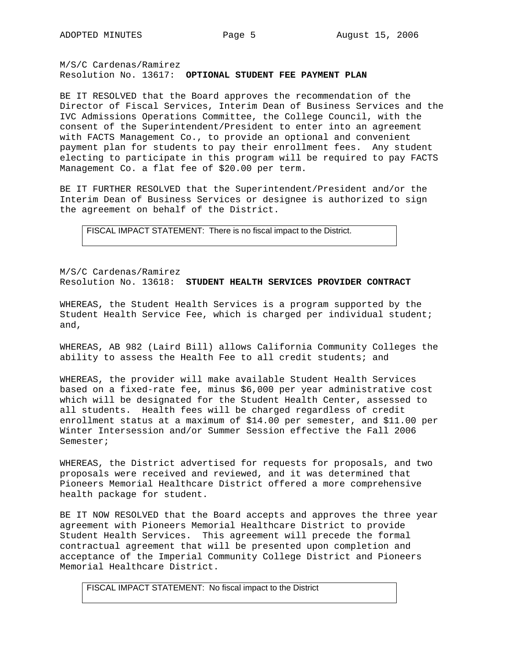M/S/C Cardenas/Ramirez Resolution No. 13617: **OPTIONAL STUDENT FEE PAYMENT PLAN**

BE IT RESOLVED that the Board approves the recommendation of the Director of Fiscal Services, Interim Dean of Business Services and the IVC Admissions Operations Committee, the College Council, with the consent of the Superintendent/President to enter into an agreement with FACTS Management Co., to provide an optional and convenient payment plan for students to pay their enrollment fees. Any student electing to participate in this program will be required to pay FACTS Management Co. a flat fee of \$20.00 per term.

BE IT FURTHER RESOLVED that the Superintendent/President and/or the Interim Dean of Business Services or designee is authorized to sign the agreement on behalf of the District.

FISCAL IMPACT STATEMENT: There is no fiscal impact to the District.

M/S/C Cardenas/Ramirez Resolution No. 13618: **STUDENT HEALTH SERVICES PROVIDER CONTRACT** 

WHEREAS, the Student Health Services is a program supported by the Student Health Service Fee, which is charged per individual student; and,

WHEREAS, AB 982 (Laird Bill) allows California Community Colleges the ability to assess the Health Fee to all credit students; and

WHEREAS, the provider will make available Student Health Services based on a fixed-rate fee, minus \$6,000 per year administrative cost which will be designated for the Student Health Center, assessed to all students. Health fees will be charged regardless of credit enrollment status at a maximum of \$14.00 per semester, and \$11.00 per Winter Intersession and/or Summer Session effective the Fall 2006 Semester;

WHEREAS, the District advertised for requests for proposals, and two proposals were received and reviewed, and it was determined that Pioneers Memorial Healthcare District offered a more comprehensive health package for student.

BE IT NOW RESOLVED that the Board accepts and approves the three year agreement with Pioneers Memorial Healthcare District to provide Student Health Services. This agreement will precede the formal contractual agreement that will be presented upon completion and acceptance of the Imperial Community College District and Pioneers Memorial Healthcare District.

FISCAL IMPACT STATEMENT: No fiscal impact to the District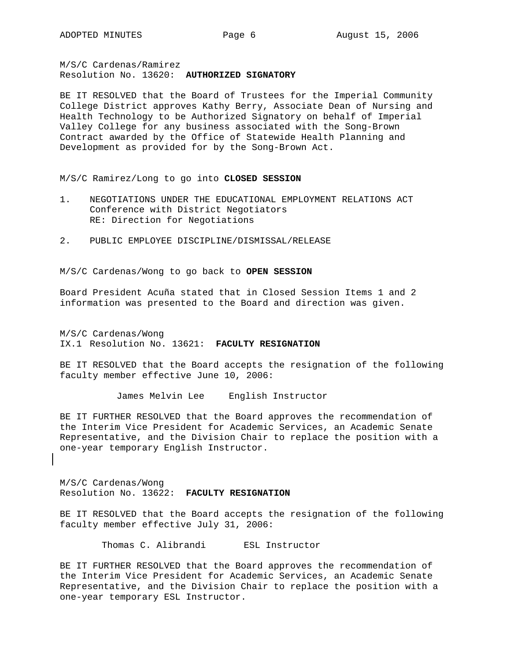M/S/C Cardenas/Ramirez Resolution No. 13620: **AUTHORIZED SIGNATORY** 

BE IT RESOLVED that the Board of Trustees for the Imperial Community College District approves Kathy Berry, Associate Dean of Nursing and Health Technology to be Authorized Signatory on behalf of Imperial Valley College for any business associated with the Song-Brown Contract awarded by the Office of Statewide Health Planning and Development as provided for by the Song-Brown Act.

M/S/C Ramirez/Long to go into **CLOSED SESSION**

- 1. NEGOTIATIONS UNDER THE EDUCATIONAL EMPLOYMENT RELATIONS ACT Conference with District Negotiators RE: Direction for Negotiations
- 2. PUBLIC EMPLOYEE DISCIPLINE/DISMISSAL/RELEASE

M/S/C Cardenas/Wong to go back to **OPEN SESSION**

Board President Acuña stated that in Closed Session Items 1 and 2 information was presented to the Board and direction was given.

M/S/C Cardenas/Wong IX.1 Resolution No. 13621: **FACULTY RESIGNATION**

BE IT RESOLVED that the Board accepts the resignation of the following faculty member effective June 10, 2006:

James Melvin Lee English Instructor

BE IT FURTHER RESOLVED that the Board approves the recommendation of the Interim Vice President for Academic Services, an Academic Senate Representative, and the Division Chair to replace the position with a one-year temporary English Instructor.

M/S/C Cardenas/Wong Resolution No. 13622: **FACULTY RESIGNATION**

BE IT RESOLVED that the Board accepts the resignation of the following faculty member effective July 31, 2006:

Thomas C. Alibrandi ESL Instructor

BE IT FURTHER RESOLVED that the Board approves the recommendation of the Interim Vice President for Academic Services, an Academic Senate Representative, and the Division Chair to replace the position with a one-year temporary ESL Instructor.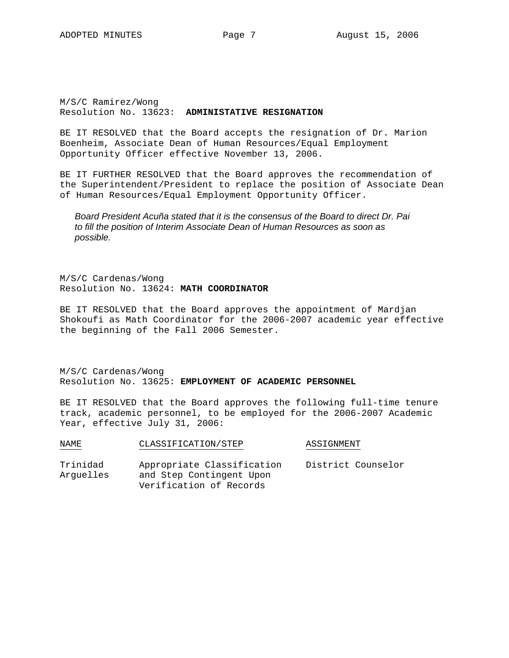M/S/C Ramirez/Wong Resolution No. 13623: **ADMINISTATIVE RESIGNATION**

BE IT RESOLVED that the Board accepts the resignation of Dr. Marion Boenheim, Associate Dean of Human Resources/Equal Employment Opportunity Officer effective November 13, 2006.

BE IT FURTHER RESOLVED that the Board approves the recommendation of the Superintendent/President to replace the position of Associate Dean of Human Resources/Equal Employment Opportunity Officer.

*Board President Acuña stated that it is the consensus of the Board to direct Dr. Pai to fill the position of Interim Associate Dean of Human Resources as soon as possible.* 

M/S/C Cardenas/Wong Resolution No. 13624: **MATH COORDINATOR** 

BE IT RESOLVED that the Board approves the appointment of Mardjan Shokoufi as Math Coordinator for the 2006-2007 academic year effective the beginning of the Fall 2006 Semester.

M/S/C Cardenas/Wong Resolution No. 13625: **EMPLOYMENT OF ACADEMIC PERSONNEL** 

BE IT RESOLVED that the Board approves the following full-time tenure track, academic personnel, to be employed for the 2006-2007 Academic Year, effective July 31, 2006:

| NAME                  | CLASSIFICATION/STEP                                                               | ASSIGNMENT         |
|-----------------------|-----------------------------------------------------------------------------------|--------------------|
| Trinidad<br>Arquelles | Appropriate Classification<br>and Step Contingent Upon<br>Verification of Records | District Counselor |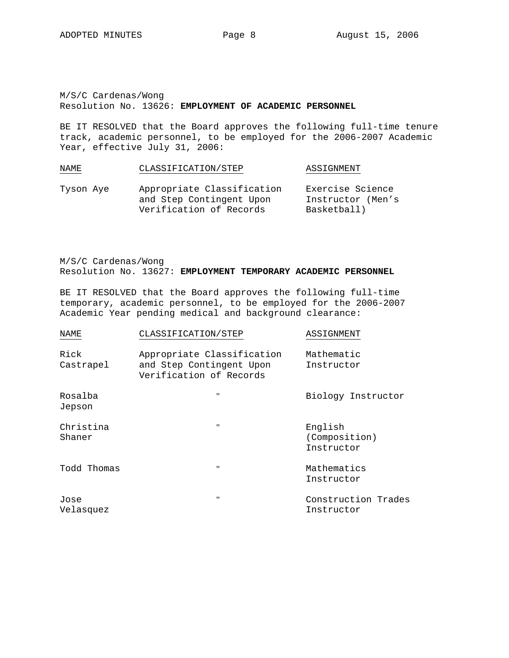M/S/C Cardenas/Wong Resolution No. 13626: **EMPLOYMENT OF ACADEMIC PERSONNEL** 

BE IT RESOLVED that the Board approves the following full-time tenure track, academic personnel, to be employed for the 2006-2007 Academic Year, effective July 31, 2006:

| NAME      | CLASSIFICATION/STEP                                                               | ASSIGNMENT                                           |
|-----------|-----------------------------------------------------------------------------------|------------------------------------------------------|
| Tyson Aye | Appropriate Classification<br>and Step Contingent Upon<br>Verification of Records | Exercise Science<br>Instructor (Men's<br>Basketball) |

M/S/C Cardenas/Wong Resolution No. 13627: **EMPLOYMENT TEMPORARY ACADEMIC PERSONNEL** 

BE IT RESOLVED that the Board approves the following full-time temporary, academic personnel, to be employed for the 2006-2007 Academic Year pending medical and background clearance:

| NAME                | CLASSIFICATION/STEP                                                               | ASSIGNMENT                             |
|---------------------|-----------------------------------------------------------------------------------|----------------------------------------|
| Rick<br>Castrapel   | Appropriate Classification<br>and Step Contingent Upon<br>Verification of Records | Mathematic<br>Instructor               |
| Rosalba<br>Jepson   | $^{\prime\prime}$                                                                 | Biology Instructor                     |
| Christina<br>Shaner | "                                                                                 | English<br>(Composition)<br>Instructor |
| Todd Thomas         | $^{\prime\prime}$                                                                 | Mathematics<br>Instructor              |
| Jose<br>Velasquez   | $^{\prime\prime}$                                                                 | Construction Trades<br>Instructor      |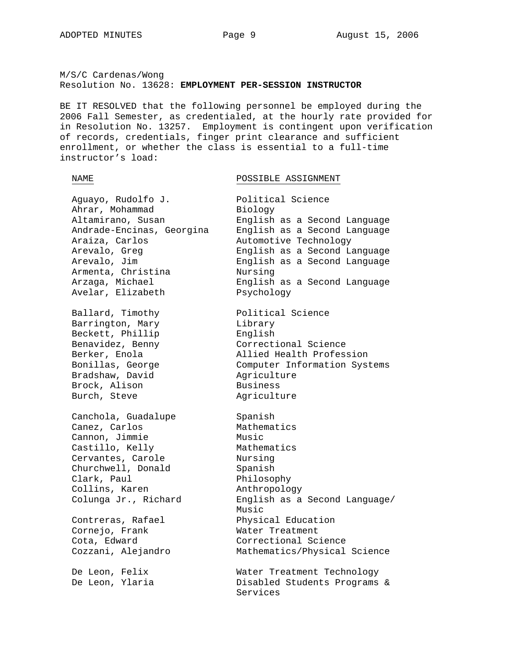#### M/S/C Cardenas/Wong Resolution No. 13628: **EMPLOYMENT PER-SESSION INSTRUCTOR**

BE IT RESOLVED that the following personnel be employed during the 2006 Fall Semester, as credentialed, at the hourly rate provided for in Resolution No. 13257. Employment is contingent upon verification of records, credentials, finger print clearance and sufficient enrollment, or whether the class is essential to a full-time instructor's load:

NAME POSSIBLE ASSIGNMENT

Aguayo, Rudolfo J. Political Science Ahrar, Mohammad Biology Altamirano, Susan English as a Second Language Andrade-Encinas, Georgina English as a Second Language Araiza, Carlos Automotive Technology Arevalo, Greg English as a Second Language Arevalo, Jim English as a Second Language Armenta, Christina Avelar, Elizabeth Psychology

Barrington, Mary Beckett, Phillip<br>Benavidez, Benny Bradshaw, David and Agriculture Brock, Alison Business Burch, Steve **Agriculture** 

Canchola, Guadalupe Spanish Canez, Carlos (Anthematics Cannon, Jimmie (Anthematics Music)<br>Castillo, Kelly (Anthematics Mathematics Cannon, Jimmie Castillo, Kelly Cervantes, Carole Churchwell, Donald Cervantes, Carole Mursing<br>
Churchwell, Donald Spanish<br>
Clark, Paul Philosophy Collins, Karen anthropology

Cornejo, Frank Water Treatment

Arzaga, Michael English as a Second Language Ballard, Timothy Political Science Benavidez, Benny Correctional Science Berker, Enola Allied Health Profession Bonillas, George Computer Information Systems

Colunga Jr., Richard English as a Second Language/ Music Contreras, Rafael Physical Education Cota, Edward Correctional Science Cozzani, Alejandro Mathematics/Physical Science

De Leon, Felix Water Treatment Technology De Leon, Ylaria Disabled Students Programs & Services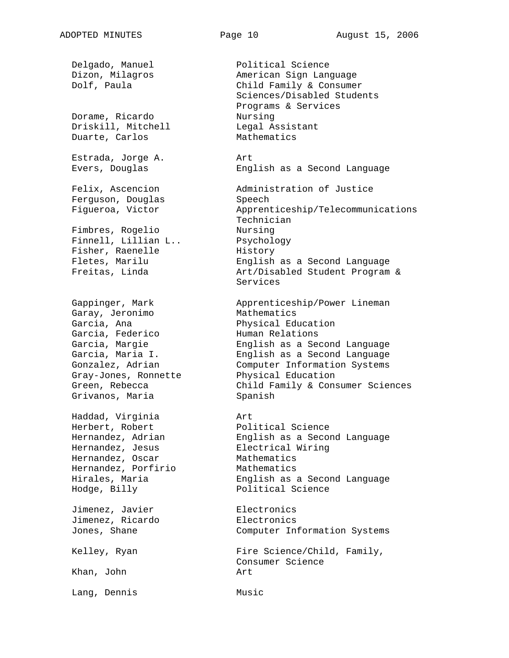Dorame, Ricardo Nursing Driskill, Mitchell Legal Assistant Duarte, Carlos Mathematics Estrada, Jorge A. Art Ferguson, Douglas Speech Fimbres, Rogelio Nursing Finnell, Lillian L.. Psychology Fisher, Raenelle History Garay, Jeronimo Mathematics Garcia, Federico Muman Relations Gray-Jones, Ronnette Grivanos, Maria **Spanish** Haddad, Virginia Art Hernandez, Oscar Mathematics Hernandez, Porfirio Mathematics Jimenez, Javier **Electronics** Jimenez, Ricardo **Electronics** Khan, John **Art** 

Lang, Dennis Music

Delgado, Manuel Political Science Dizon, Milagros **American Sign Language** Dolf, Paula Child Family & Consumer Sciences/Disabled Students Programs & Services Evers, Douglas English as a Second Language Felix, Ascencion Administration of Justice Figueroa, Victor Apprenticeship/Telecommunications Technician Fletes, Marilu English as a Second Language Freitas, Linda Art/Disabled Student Program & Services Gappinger, Mark Apprenticeship/Power Lineman Garcia, Ana **Physical Education** Garcia, Margie English as a Second Language Garcia, Maria I. English as a Second Language Gonzalez, Adrian Computer Information Systems<br>Gray-Jones, Ronnette Physical Education Green, Rebecca Child Family & Consumer Sciences Herbert, Robert Political Science Hernandez, Adrian English as a Second Language Hernandez, Jesus Electrical Wiring Hirales, Maria English as a Second Language Hodge, Billy Political Science Jones, Shane Computer Information Systems Kelley, Ryan Fire Science/Child, Family, Consumer Science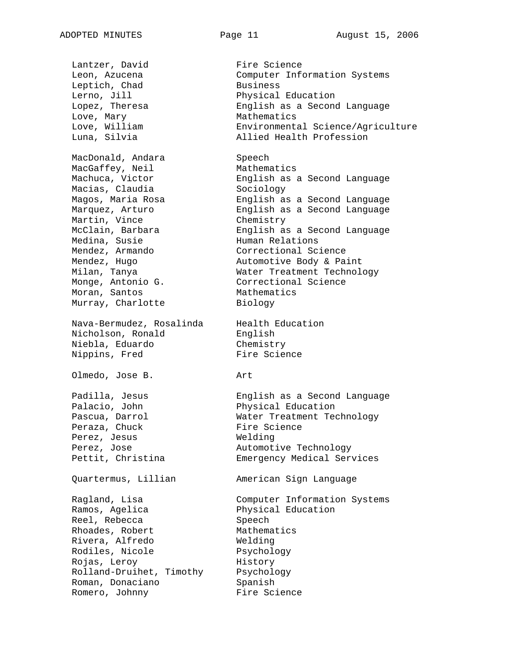Lantzer, David Fire Science Leptich, Chad Business Lerno, Jill Physical Education Love, Mary **Mathematics** MacDonald, Andara Speech MacDonald, Andara Speech<br>MacGaffey, Neil Mathematics Macias, Claudia Sociology Martin, Vince **Chemistry** Medina, Susie Human Relations Mendez, Armando Correctional Science Monge, Antonio G. Correctional Science Moran, Santos **Mathematics** Murray, Charlotte Biology Nava-Bermudez, Rosalinda Health Education Nicholson, Ronald English Niebla, Eduardo Chemistry Nippins, Fred Fire Science Olmedo, Jose B. Art Palacio, John Physical Education Peraza, Chuck Fire Science Perez, Jesus Nelding Perez, Jose **Automotive Technology** Quartermus, Lillian American Sign Language Ragland, Lisa Ramos, Agelica Reel, Rebecca Rhoades, Robert Rivera, Alfredo Rodiles, Nicole Rojas, Leroy Rolland-Druihet, Timothy Psychology Roman, Donaciano Romero, Johnny

Leon, Azucena Computer Information Systems Lopez, Theresa English as a Second Language Love, William Environmental Science/Agriculture Luna, Silvia Allied Health Profession Machuca, Victor **English as a Second Language** Magos, Maria Rosa English as a Second Language Marquez, Arturo English as a Second Language McClain, Barbara English as a Second Language Mendez, Hugo and Automotive Body & Paint Milan, Tanya Water Treatment Technology Padilla, Jesus English as a Second Language Pascua, Darrol **East East Communist Constant** Technology Pettit, Christina Emergency Medical Services Computer Information Systems Physical Education Speech Mathematics Welding Psychology History Spanish Fire Science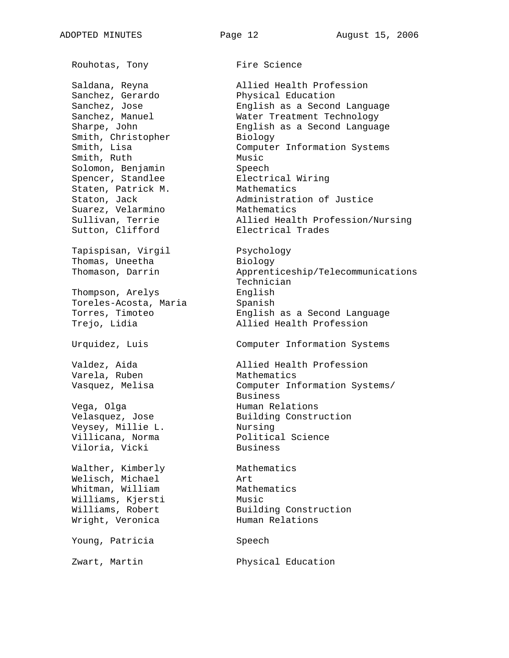Rouhotas, Tony **Fire Science** Sanchez, Gerardo Sanchez, Jose Sanchez, Manuel Smith, Christopher Biology Smith, Ruth Music Solomon, Benjamin Speech Spencer, Standlee Electrical Wiring Staten, Patrick M. Staton, Jack Suarez, Velarmino Sutton, Clifford **Electrical** Trades Tapispisan, Virgil Thomas, Uneetha Thompson, Arelys English Toreles-Acosta, Maria **Spanish** Varela, Ruben Mathematics Vega, Olga (Vega, Olga Human Relations Veysey, Millie L. Nursing Villicana, Norma<br>
Political Science Viloria, Vicki Business Walther, Kimberly Mathematics Welisch, Michael Art Whitman, William Mathematics Williams, Kjersti Music Wright, Veronica **Human Relations** Young, Patricia Speech

Saldana, Reyna Allied Health Profession Physical Education English as a Second Language Water Treatment Technology Sharpe, John **English as a Second Language** Smith, Lisa Computer Information Systems Mathematics Administration of Justice Sullivan, Terrie Allied Health Profession/Nursing

Psychology Biology Thomason, Darrin Apprenticeship/Telecommunications Technician Torres, Timoteo English as a Second Language Trejo, Lidia and Allied Health Profession

Urquidez, Luis Computer Information Systems

Valdez, Aida and Allied Health Profession Vasquez, Melisa Computer Information Systems/ Business Velasquez, Jose Building Construction

Williams, Robert Building Construction

Zwart, Martin Physical Education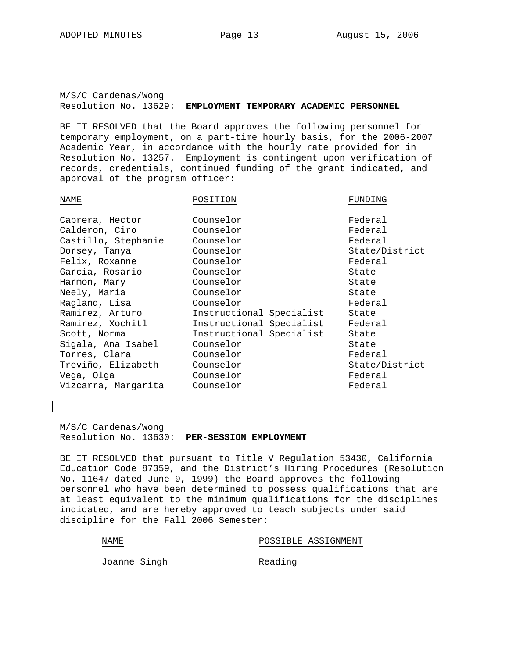M/S/C Cardenas/Wong Resolution No. 13629: **EMPLOYMENT TEMPORARY ACADEMIC PERSONNEL**

BE IT RESOLVED that the Board approves the following personnel for temporary employment, on a part-time hourly basis, for the 2006-2007 Academic Year, in accordance with the hourly rate provided for in Resolution No. 13257. Employment is contingent upon verification of records, credentials, continued funding of the grant indicated, and approval of the program officer:

| NAME                | POSITION                 | FUNDING        |
|---------------------|--------------------------|----------------|
| Cabrera, Hector     | Counselor                | Federal        |
| Calderon, Ciro      | Counselor                | Federal        |
| Castillo, Stephanie | Counselor                | Federal        |
| Dorsey, Tanya       | Counselor                | State/District |
| Felix, Roxanne      | Counselor                | Federal        |
| Garcia, Rosario     | Counselor                | State          |
| Harmon, Mary        | Counselor                | State          |
| Neely, Maria        | Counselor                | State          |
| Ragland, Lisa       | Counselor                | Federal        |
| Ramirez, Arturo     | Instructional Specialist | State          |
| Ramirez, Xochitl    | Instructional Specialist | Federal        |
| Scott, Norma        | Instructional Specialist | State          |
| Sigala, Ana Isabel  | Counselor                | State          |
| Torres, Clara       | Counselor                | Federal        |
| Treviño, Elizabeth  | Counselor                | State/District |
| Vega, Olga          | Counselor                | Federal        |
| Vizcarra, Margarita | Counselor                | Federal        |
|                     |                          |                |

M/S/C Cardenas/Wong Resolution No. 13630: **PER-SESSION EMPLOYMENT**

BE IT RESOLVED that pursuant to Title V Regulation 53430, California Education Code 87359, and the District's Hiring Procedures (Resolution No. 11647 dated June 9, 1999) the Board approves the following personnel who have been determined to possess qualifications that are at least equivalent to the minimum qualifications for the disciplines indicated, and are hereby approved to teach subjects under said discipline for the Fall 2006 Semester:

#### NAME NAME POSSIBLE ASSIGNMENT

Joanne Singh **Reading**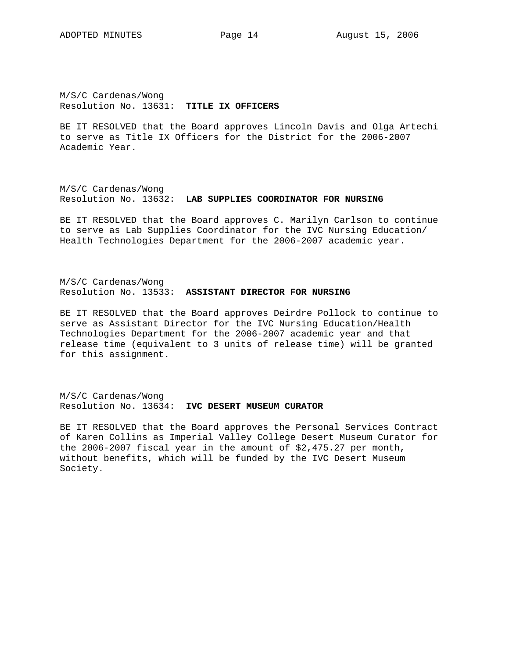M/S/C Cardenas/Wong Resolution No. 13631: **TITLE IX OFFICERS**

BE IT RESOLVED that the Board approves Lincoln Davis and Olga Artechi to serve as Title IX Officers for the District for the 2006-2007 Academic Year.

M/S/C Cardenas/Wong Resolution No. 13632: **LAB SUPPLIES COORDINATOR FOR NURSING**

BE IT RESOLVED that the Board approves C. Marilyn Carlson to continue to serve as Lab Supplies Coordinator for the IVC Nursing Education/ Health Technologies Department for the 2006-2007 academic year.

M/S/C Cardenas/Wong Resolution No. 13533: **ASSISTANT DIRECTOR FOR NURSING**

BE IT RESOLVED that the Board approves Deirdre Pollock to continue to serve as Assistant Director for the IVC Nursing Education/Health Technologies Department for the 2006-2007 academic year and that release time (equivalent to 3 units of release time) will be granted for this assignment.

M/S/C Cardenas/Wong Resolution No. 13634: **IVC DESERT MUSEUM CURATOR**

BE IT RESOLVED that the Board approves the Personal Services Contract of Karen Collins as Imperial Valley College Desert Museum Curator for the 2006-2007 fiscal year in the amount of \$2,475.27 per month, without benefits, which will be funded by the IVC Desert Museum Society.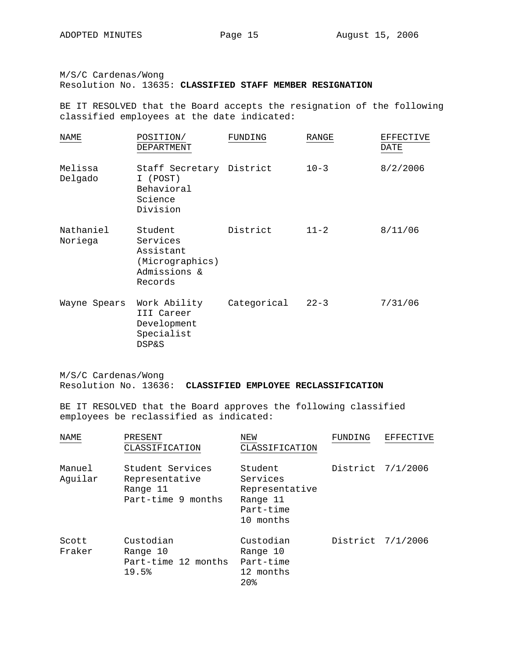M/S/C Cardenas/Wong

Resolution No. 13635: **CLASSIFIED STAFF MEMBER RESIGNATION**

BE IT RESOLVED that the Board accepts the resignation of the following classified employees at the date indicated:

| NAME                 | POSITION/<br>DEPARTMENT                                                        | FUNDING     | RANGE    | <b>EFFECTIVE</b><br>DATE |
|----------------------|--------------------------------------------------------------------------------|-------------|----------|--------------------------|
| Melissa<br>Delgado   | Staff Secretary District<br>I (POST)<br>Behavioral<br>Science<br>Division      |             | $10 - 3$ | 8/2/2006                 |
| Nathaniel<br>Noriega | Student<br>Services<br>Assistant<br>(Micrographics)<br>Admissions &<br>Records | District    | $11 - 2$ | 8/11/06                  |
| Wayne Spears         | Work Ability<br>III Career<br>Development<br>Specialist<br><b>DSP&amp;S</b>    | Categorical | $22 - 3$ | 7/31/06                  |

M/S/C Cardenas/Wong Resolution No. 13636: **CLASSIFIED EMPLOYEE RECLASSIFICATION**

BE IT RESOLVED that the Board approves the following classified employees be reclassified as indicated:

| NAME              | PRESENT<br>CLASSIFICATION                                            | NEW<br>CLASSIFICATION                                                       | FUNDING | EFFECTIVE         |
|-------------------|----------------------------------------------------------------------|-----------------------------------------------------------------------------|---------|-------------------|
| Manuel<br>Aquilar | Student Services<br>Representative<br>Range 11<br>Part-time 9 months | Student<br>Services<br>Representative<br>Range 11<br>Part-time<br>10 months |         | District 7/1/2006 |
| Scott<br>Fraker   | Custodian<br>Range 10<br>Part-time 12 months<br>19.5%                | Custodian<br>Range 10<br>Part-time<br>12 months<br>20 <sub>8</sub>          |         | District 7/1/2006 |